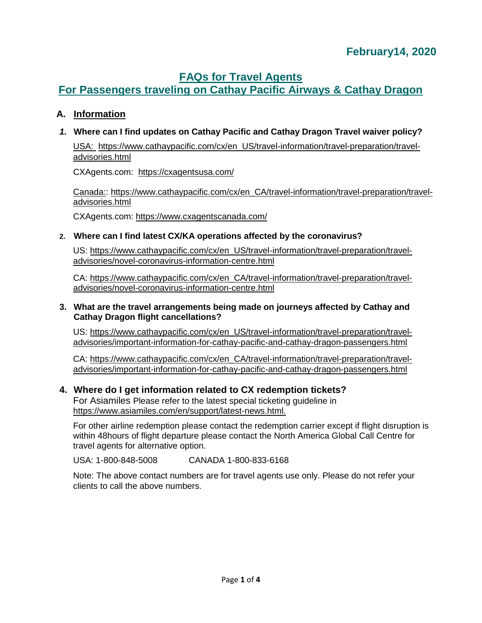## **FAQs for Travel Agents**

# **For Passengers traveling on Cathay Pacific Airways & Cathay Dragon**

### **A. Information**

#### *1.* **Where can I find updates on Cathay Pacific and Cathay Dragon Travel waiver policy?**

USA: [https://www.cathaypacific.com/cx/en\\_US/travel-information/travel-preparation/travel](https://www.cathaypacific.com/cx/en_US/travel-information/travel-preparation/travel-advisories.html)[advisories.html](https://www.cathaypacific.com/cx/en_US/travel-information/travel-preparation/travel-advisories.html)

CXAgents.com: <https://cxagentsusa.com/>

Canada:: [https://www.cathaypacific.com/cx/en\\_CA/travel-information/travel-preparation/travel](https://www.cathaypacific.com/cx/en_CA/travel-information/travel-preparation/travel-advisories.html)[advisories.html](https://www.cathaypacific.com/cx/en_CA/travel-information/travel-preparation/travel-advisories.html)

CXAgents.com: <https://www.cxagentscanada.com/>

#### **2. Where can I find latest CX/KA operations affected by the coronavirus?**

US: [https://www.cathaypacific.com/cx/en\\_US/travel-information/travel-preparation/travel](https://www.cathaypacific.com/cx/en_US/travel-information/travel-preparation/travel-advisories/novel-coronavirus-information-centre.html)[advisories/novel-coronavirus-information-centre.html](https://www.cathaypacific.com/cx/en_US/travel-information/travel-preparation/travel-advisories/novel-coronavirus-information-centre.html)

CA: [https://www.cathaypacific.com/cx/en\\_CA/travel-information/travel-preparation/travel](https://www.cathaypacific.com/cx/en_CA/travel-information/travel-preparation/travel-advisories/novel-coronavirus-information-centre.html)[advisories/novel-coronavirus-information-centre.html](https://www.cathaypacific.com/cx/en_CA/travel-information/travel-preparation/travel-advisories/novel-coronavirus-information-centre.html)

#### **3. What are the travel arrangements being made on journeys affected by Cathay and Cathay Dragon flight cancellations?**

US: [https://www.cathaypacific.com/cx/en\\_US/travel-information/travel-preparation/travel](https://www.cathaypacific.com/cx/en_US/travel-information/travel-preparation/travel-advisories/important-information-for-cathay-pacific-and-cathay-dragon-passengers.html)[advisories/important-information-for-cathay-pacific-and-cathay-dragon-passengers.html](https://www.cathaypacific.com/cx/en_US/travel-information/travel-preparation/travel-advisories/important-information-for-cathay-pacific-and-cathay-dragon-passengers.html)

CA: [https://www.cathaypacific.com/cx/en\\_CA/travel-information/travel-preparation/travel](https://www.cathaypacific.com/cx/en_CA/travel-information/travel-preparation/travel-advisories/important-information-for-cathay-pacific-and-cathay-dragon-passengers.html)[advisories/important-information-for-cathay-pacific-and-cathay-dragon-passengers.html](https://www.cathaypacific.com/cx/en_CA/travel-information/travel-preparation/travel-advisories/important-information-for-cathay-pacific-and-cathay-dragon-passengers.html)

### **4. Where do I get information related to CX redemption tickets?**

For Asiamiles Please refer to the latest special ticketing guideline in [https://www.asiamiles.com/en/support/latest-news.html.](https://www.asiamiles.com/en/support/latest-news.html)

For other airline redemption please contact the redemption carrier except if flight disruption is within 48hours of flight departure please contact the North America Global Call Centre for travel agents for alternative option.

USA: 1-800-848-5008 CANADA 1-800-833-6168

Note: The above contact numbers are for travel agents use only. Please do not refer your clients to call the above numbers.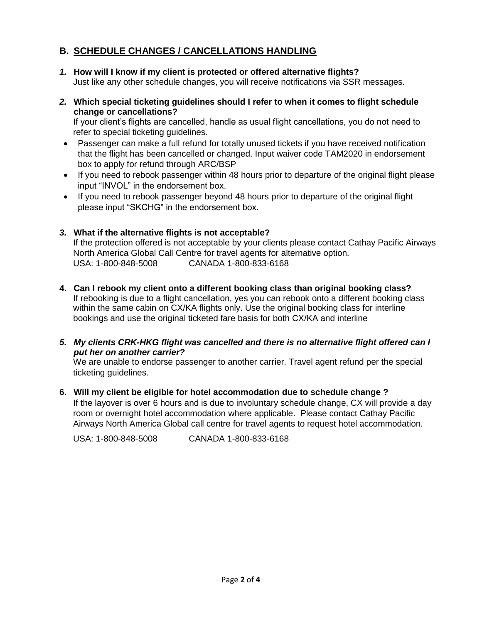### **B. SCHEDULE CHANGES / CANCELLATIONS HANDLING**

- *1.* **How will I know if my client is protected or offered alternative flights?**  Just like any other schedule changes, you will receive notifications via SSR messages.
- *2.* **Which special ticketing guidelines should I refer to when it comes to flight schedule change or cancellations?**

If your client's flights are cancelled, handle as usual flight cancellations, you do not need to refer to special ticketing guidelines.

- Passenger can make a full refund for totally unused tickets if you have received notification that the flight has been cancelled or changed. Input waiver code TAM2020 in endorsement box to apply for refund through ARC/BSP
- If you need to rebook passenger within 48 hours prior to departure of the original flight please input "INVOL" in the endorsement box.
- If you need to rebook passenger beyond 48 hours prior to departure of the original flight please input "SKCHG" in the endorsement box.

#### *3.* **What if the alternative flights is not acceptable?**

If the protection offered is not acceptable by your clients please contact Cathay Pacific Airways North America Global Call Centre for travel agents for alternative option. USA: 1-800-848-5008 CANADA 1-800-833-6168

**4. Can I rebook my client onto a different booking class than original booking class?**  If rebooking is due to a flight cancellation, yes you can rebook onto a different booking class within the same cabin on CX/KA flights only. Use the original booking class for interline bookings and use the original ticketed fare basis for both CX/KA and interline

#### *5. My clients CRK-HKG flight was cancelled and there is no alternative flight offered can I put her on another carrier?*

We are unable to endorse passenger to another carrier. Travel agent refund per the special ticketing guidelines.

#### **6. Will my client be eligible for hotel accommodation due to schedule change ?**

If the layover is over 6 hours and is due to involuntary schedule change, CX will provide a day room or overnight hotel accommodation where applicable. Please contact Cathay Pacific Airways North America Global call centre for travel agents to request hotel accommodation.

USA: 1-800-848-5008 CANADA 1-800-833-6168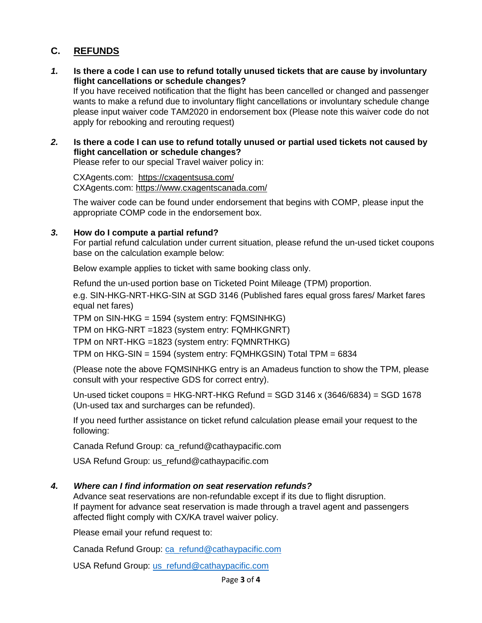### **C. REFUNDS**

*1.* **Is there a code I can use to refund totally unused tickets that are cause by involuntary flight cancellations or schedule changes?** 

If you have received notification that the flight has been cancelled or changed and passenger wants to make a refund due to involuntary flight cancellations or involuntary schedule change please input waiver code TAM2020 in endorsement box (Please note this waiver code do not apply for rebooking and rerouting request)

*2.* **Is there a code I can use to refund totally unused or partial used tickets not caused by flight cancellation or schedule changes?** 

Please refer to our special Travel waiver policy in:

CXAgents.com: <https://cxagentsusa.com/> CXAgents.com:<https://www.cxagentscanada.com/>

The waiver code can be found under endorsement that begins with COMP, please input the appropriate COMP code in the endorsement box.

#### *3.* **How do I compute a partial refund?**

For partial refund calculation under current situation, please refund the un-used ticket coupons base on the calculation example below:

Below example applies to ticket with same booking class only.

Refund the un-used portion base on Ticketed Point Mileage (TPM) proportion. e.g. SIN-HKG-NRT-HKG-SIN at SGD 3146 (Published fares equal gross fares/ Market fares equal net fares)

TPM on SIN-HKG = 1594 (system entry: FQMSINHKG)

TPM on HKG-NRT =1823 (system entry: FQMHKGNRT)

TPM on NRT-HKG =1823 (system entry: FQMNRTHKG)

TPM on HKG-SIN = 1594 (system entry: FQMHKGSIN) Total TPM = 6834

(Please note the above FQMSINHKG entry is an Amadeus function to show the TPM, please consult with your respective GDS for correct entry).

Un-used ticket coupons = HKG-NRT-HKG Refund =  $SGD$  3146 x (3646/6834) =  $SGD$  1678 (Un-used tax and surcharges can be refunded).

If you need further assistance on ticket refund calculation please email your request to the following:

Canada Refund Group: ca\_refund@cathaypacific.com

USA Refund Group: us\_refund@cathaypacific.com

#### *4. Where can I find information on seat reservation refunds?*

Advance seat reservations are non-refundable except if its due to flight disruption. If payment for advance seat reservation is made through a travel agent and passengers affected flight comply with CX/KA travel waiver policy.

Please email your refund request to:

Canada Refund Group: [ca\\_refund@cathaypacific.com](mailto:ca_refund@cathaypacific.com)

USA Refund Group: [us\\_refund@cathaypacific.com](mailto:us_refund@cathaypacific.com)